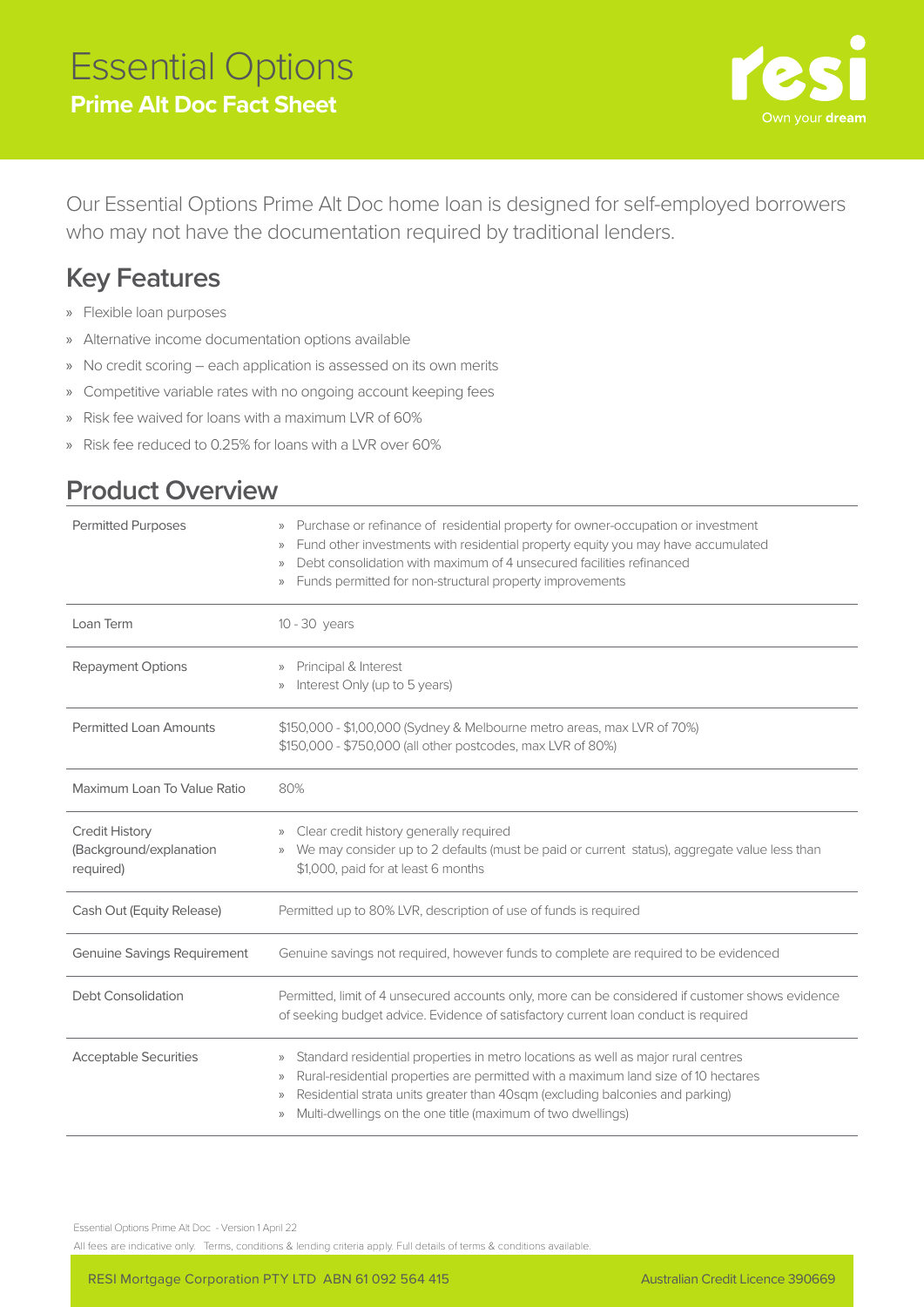

Our Essential Options Prime Alt Doc home loan is designed for self-employed borrowers who may not have the documentation required by traditional lenders.

## **Key Features**

- » Flexible loan purposes
- » Alternative income documentation options available
- » No credit scoring each application is assessed on its own merits
- » Competitive variable rates with no ongoing account keeping fees
- » Risk fee waived for loans with a maximum LVR of 60%
- » Risk fee reduced to 0.25% for loans with a LVR over 60%

## **Product Overview**

| <b>Permitted Purposes</b>                                     | Purchase or refinance of residential property for owner-occupation or investment<br>$\rangle$<br>Fund other investments with residential property equity you may have accumulated<br>$\rangle$<br>Debt consolidation with maximum of 4 unsecured facilities refinanced<br>$\rangle$<br>Funds permitted for non-structural property improvements<br>$\rangle\rangle$                       |  |  |
|---------------------------------------------------------------|-------------------------------------------------------------------------------------------------------------------------------------------------------------------------------------------------------------------------------------------------------------------------------------------------------------------------------------------------------------------------------------------|--|--|
| Loan Term                                                     | 10 - 30 years                                                                                                                                                                                                                                                                                                                                                                             |  |  |
| Repayment Options                                             | Principal & Interest<br>$\rangle$<br>Interest Only (up to 5 years)<br>$\mathcal{V}$                                                                                                                                                                                                                                                                                                       |  |  |
| <b>Permitted Loan Amounts</b>                                 | \$150,000 - \$1,00,000 (Sydney & Melbourne metro areas, max LVR of 70%)<br>\$150,000 - \$750,000 (all other postcodes, max LVR of 80%)                                                                                                                                                                                                                                                    |  |  |
| Maximum Loan To Value Ratio                                   | 80%                                                                                                                                                                                                                                                                                                                                                                                       |  |  |
| <b>Credit History</b><br>(Background/explanation<br>required) | Clear credit history generally required<br>$\rangle\rangle$<br>We may consider up to 2 defaults (must be paid or current status), aggregate value less than<br>$\rangle$<br>\$1,000, paid for at least 6 months                                                                                                                                                                           |  |  |
| Cash Out (Equity Release)                                     | Permitted up to 80% LVR, description of use of funds is required                                                                                                                                                                                                                                                                                                                          |  |  |
| <b>Genuine Savings Requirement</b>                            | Genuine savings not required, however funds to complete are required to be evidenced                                                                                                                                                                                                                                                                                                      |  |  |
| Debt Consolidation                                            | Permitted, limit of 4 unsecured accounts only, more can be considered if customer shows evidence<br>of seeking budget advice. Evidence of satisfactory current loan conduct is required                                                                                                                                                                                                   |  |  |
| <b>Acceptable Securities</b>                                  | Standard residential properties in metro locations as well as major rural centres<br>$\rangle\rangle$<br>Rural-residential properties are permitted with a maximum land size of 10 hectares<br>$\rangle$<br>Residential strata units greater than 40sqm (excluding balconies and parking)<br>$\rangle\rangle$<br>Multi-dwellings on the one title (maximum of two dwellings)<br>$\rangle$ |  |  |

Essential Options Prime Alt Doc - Version 1 April 22

All fees are indicative only. Terms, conditions & lending criteria apply. Full details of terms & conditions available.